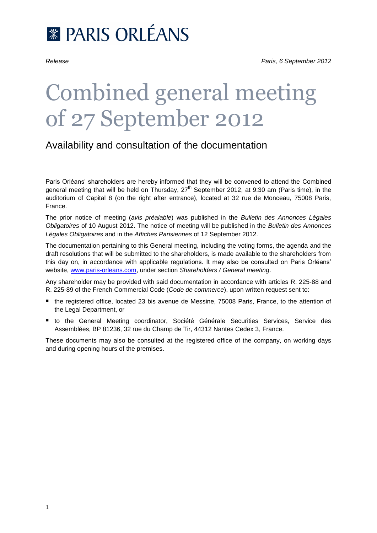

# Combined general meeting of 27 September 2012

# Availability and consultation of the documentation

Paris Orléans' shareholders are hereby informed that they will be convened to attend the Combined general meeting that will be held on Thursday, 27<sup>th</sup> September 2012, at 9:30 am (Paris time), in the auditorium of Capital 8 (on the right after entrance), located at 32 rue de Monceau, 75008 Paris, France.

The prior notice of meeting (*avis préalable*) was published in the *Bulletin des Annonces Légales Obligatoires* of 10 August 2012. The notice of meeting will be published in the *Bulletin des Annonces Légales Obligatoires* and in the *Affiches Parisiennes* of 12 September 2012.

The documentation pertaining to this General meeting, including the voting forms, the agenda and the draft resolutions that will be submitted to the shareholders, is made available to the shareholders from this day on, in accordance with applicable regulations. It may also be consulted on Paris Orléans' website, [www.paris-orleans.com,](http://www.paris-orleans.com/) under section *Shareholders / General meeting*.

Any shareholder may be provided with said documentation in accordance with articles R. 225-88 and R. 225-89 of the French Commercial Code (*Code de commerce*), upon written request sent to:

- the registered office, located 23 bis avenue de Messine, 75008 Paris, France, to the attention of the Legal Department, or
- to the General Meeting coordinator, Société Générale Securities Services, Service des Assemblées, BP 81236, 32 rue du Champ de Tir, 44312 Nantes Cedex 3, France.

These documents may also be consulted at the registered office of the company, on working days and during opening hours of the premises.